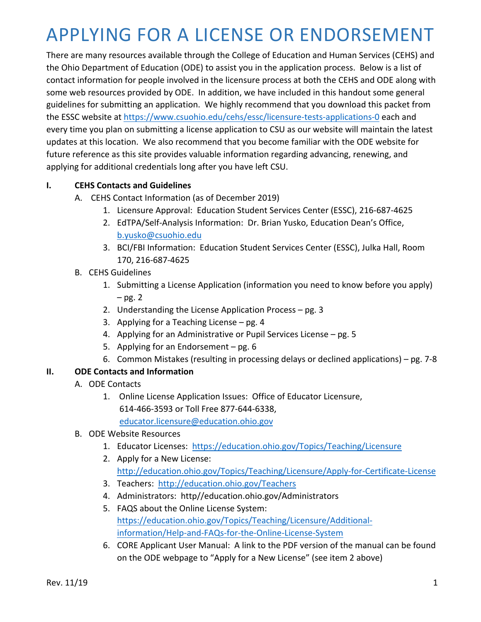## APPLYING FOR A LICENSE OR ENDORSEMENT

There are many resources available through the College of Education and Human Services (CEHS) and the Ohio Department of Education (ODE) to assist you in the application process. Below is a list of contact information for people involved in the licensure process at both the CEHS and ODE along with some web resources provided by ODE. In addition, we have included in this handout some general guidelines for submitting an application. We highly recommend that you download this packet from the ESSC website at https://www.csuohio.edu/cehs/essc/licensure-tests-applications-0 each and every time you plan on submitting a license application to CSU as our website will maintain the latest updates at this location. We also recommend that you become familiar with the ODE website for future reference as this site provides valuable information regarding advancing, renewing, and applying for additional credentials long after you have left CSU.

### **I. CEHS Contacts and Guidelines**

- A. CEHS Contact Information (as of December 2019)
	- 1. Licensure Approval: Education Student Services Center (ESSC), 216-687-4625
	- 2. EdTPA/Self-Analysis Information: Dr. Brian Yusko, Education Dean's Office, b.yusko@csuohio.edu
	- 3. BCI/FBI Information: Education Student Services Center (ESSC), Julka Hall, Room 170, 216-687-4625
- B. CEHS Guidelines
	- 1. Submitting a License Application (information you need to know before you apply)  $-$  pg. 2
	- 2. Understanding the License Application Process pg. 3
	- 3. Applying for a Teaching License pg. 4
	- 4. Applying for an Administrative or Pupil Services License pg. 5
	- 5. Applying for an Endorsement pg. 6
	- 6. Common Mistakes (resulting in processing delays or declined applications) pg. 7-8

### **II. ODE Contacts and Information**

- A. ODE Contacts
	- 1. Online License Application Issues: Office of Educator Licensure, 614-466-3593 or Toll Free 877-644-6338, educator.licensure@education.ohio.gov
- B. ODE Website Resources
	- 1. Educator Licenses: https://education.ohio.gov/Topics/Teaching/Licensure
	- 2. Apply for a New License: http://education.ohio.gov/Topics/Teaching/Licensure/Apply-for-Certificate-License
	- 3. Teachers: http://education.ohio.gov/Teachers
	- 4. Administrators: http//education.ohio.gov/Administrators
	- 5. FAQS about the Online License System: https://education.ohio.gov/Topics/Teaching/Licensure/Additionalinformation/Help-and-FAQs-for-the-Online-License-System
	- 6. CORE Applicant User Manual: A link to the PDF version of the manual can be found on the ODE webpage to "Apply for a New License" (see item 2 above)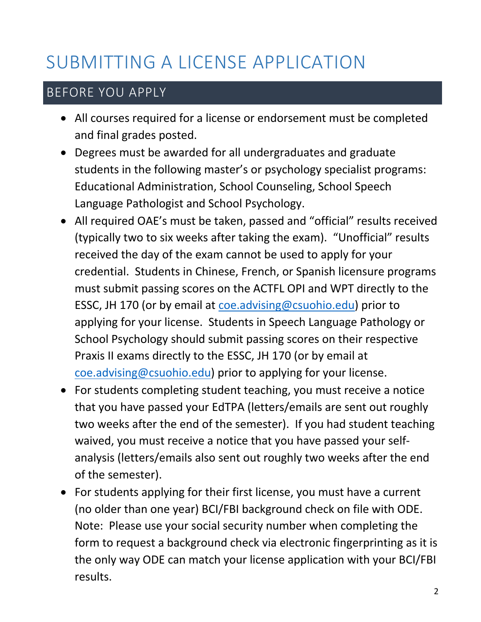# SUBMITTING A LICENSE APPLICATION

### BEFORE YOU APPLY

- All courses required for a license or endorsement must be completed and final grades posted.
- Degrees must be awarded for all undergraduates and graduate students in the following master's or psychology specialist programs: Educational Administration, School Counseling, School Speech Language Pathologist and School Psychology.
- All required OAE's must be taken, passed and "official" results received (typically two to six weeks after taking the exam). "Unofficial" results received the day of the exam cannot be used to apply for your credential. Students in Chinese, French, or Spanish licensure programs must submit passing scores on the ACTFL OPI and WPT directly to the ESSC, JH 170 (or by email at coe.advising@csuohio.edu) prior to applying for your license. Students in Speech Language Pathology or School Psychology should submit passing scores on their respective Praxis II exams directly to the ESSC, JH 170 (or by email at coe.advising@csuohio.edu) prior to applying for your license.
- For students completing student teaching, you must receive a notice that you have passed your EdTPA (letters/emails are sent out roughly two weeks after the end of the semester). If you had student teaching waived, you must receive a notice that you have passed your selfanalysis (letters/emails also sent out roughly two weeks after the end of the semester).
- For students applying for their first license, you must have a current (no older than one year) BCI/FBI background check on file with ODE. Note: Please use your social security number when completing the form to request a background check via electronic fingerprinting as it is the only way ODE can match your license application with your BCI/FBI results.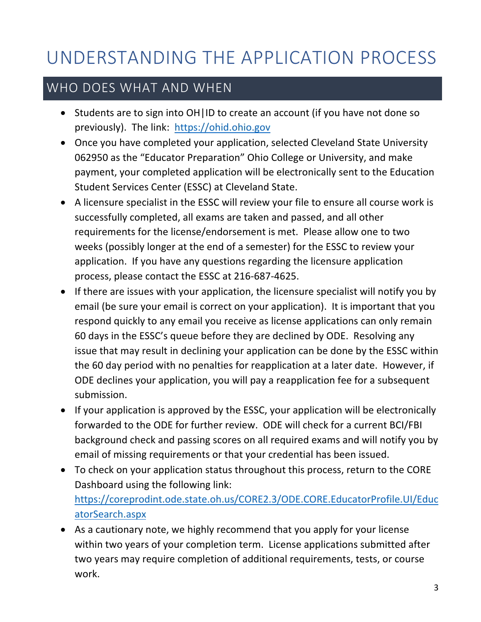# UNDERSTANDING THE APPLICATION PROCESS

### WHO DOES WHAT AND WHEN

- Students are to sign into OH|ID to create an account (if you have not done so previously). The link: https://ohid.ohio.gov
- Once you have completed your application, selected Cleveland State University 062950 as the "Educator Preparation" Ohio College or University, and make payment, your completed application will be electronically sent to the Education Student Services Center (ESSC) at Cleveland State.
- A licensure specialist in the ESSC will review your file to ensure all course work is successfully completed, all exams are taken and passed, and all other requirements for the license/endorsement is met. Please allow one to two weeks (possibly longer at the end of a semester) for the ESSC to review your application. If you have any questions regarding the licensure application process, please contact the ESSC at 216-687-4625.
- If there are issues with your application, the licensure specialist will notify you by email (be sure your email is correct on your application). It is important that you respond quickly to any email you receive as license applications can only remain 60 days in the ESSC's queue before they are declined by ODE. Resolving any issue that may result in declining your application can be done by the ESSC within the 60 day period with no penalties for reapplication at a later date. However, if ODE declines your application, you will pay a reapplication fee for a subsequent submission.
- If your application is approved by the ESSC, your application will be electronically forwarded to the ODE for further review. ODE will check for a current BCI/FBI background check and passing scores on all required exams and will notify you by email of missing requirements or that your credential has been issued.
- To check on your application status throughout this process, return to the CORE Dashboard using the following link: https://coreprodint.ode.state.oh.us/CORE2.3/ODE.CORE.EducatorProfile.UI/Educ atorSearch.aspx
- As a cautionary note, we highly recommend that you apply for your license within two years of your completion term. License applications submitted after two years may require completion of additional requirements, tests, or course work.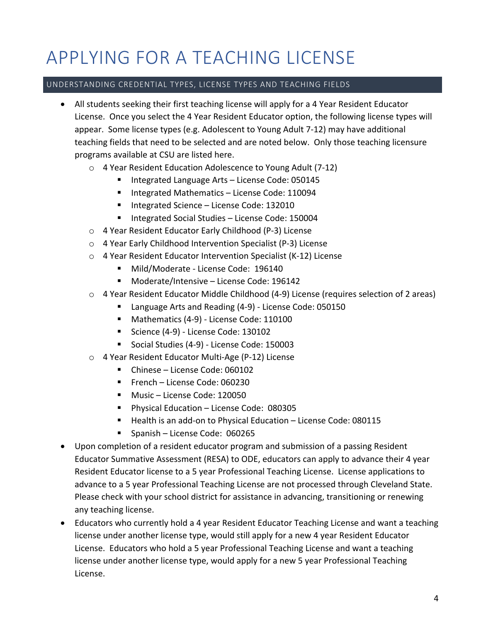# APPLYING FOR A TEACHING LICENSE

#### UNDERSTANDING CREDENTIAL TYPES, LICENSE TYPES AND TEACHING FIELDS

- All students seeking their first teaching license will apply for a 4 Year Resident Educator License. Once you select the 4 Year Resident Educator option, the following license types will appear. Some license types (e.g. Adolescent to Young Adult 7-12) may have additional teaching fields that need to be selected and are noted below. Only those teaching licensure programs available at CSU are listed here.
	- o 4 Year Resident Education Adolescence to Young Adult (7-12)
		- Integrated Language Arts License Code: 050145
		- Integrated Mathematics License Code: 110094
		- Integrated Science License Code: 132010
		- Integrated Social Studies License Code: 150004
	- o 4 Year Resident Educator Early Childhood (P-3) License
	- o 4 Year Early Childhood Intervention Specialist (P-3) License
	- o 4 Year Resident Educator Intervention Specialist (K-12) License
		- Mild/Moderate License Code: 196140
		- Moderate/Intensive License Code: 196142
	- o 4 Year Resident Educator Middle Childhood (4-9) License (requires selection of 2 areas)
		- Language Arts and Reading (4-9) License Code: 050150
		- Mathematics (4-9) License Code: 110100
		- Science (4-9) License Code: 130102
		- Social Studies (4-9) License Code: 150003
	- o 4 Year Resident Educator Multi-Age (P-12) License
		- Chinese License Code: 060102
		- French License Code: 060230
		- Music License Code: 120050
		- § Physical Education License Code: 080305
		- Health is an add-on to Physical Education License Code: 080115
		- § Spanish License Code: 060265
- Upon completion of a resident educator program and submission of a passing Resident Educator Summative Assessment (RESA) to ODE, educators can apply to advance their 4 year Resident Educator license to a 5 year Professional Teaching License. License applications to advance to a 5 year Professional Teaching License are not processed through Cleveland State. Please check with your school district for assistance in advancing, transitioning or renewing any teaching license.
- Educators who currently hold a 4 year Resident Educator Teaching License and want a teaching license under another license type, would still apply for a new 4 year Resident Educator License. Educators who hold a 5 year Professional Teaching License and want a teaching license under another license type, would apply for a new 5 year Professional Teaching License.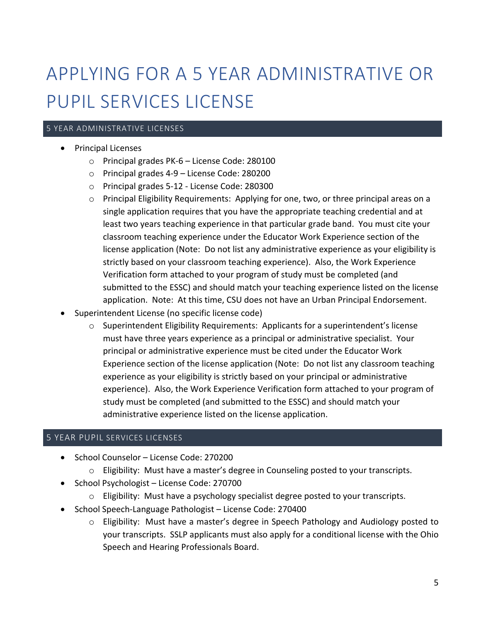# APPLYING FOR A 5 YEAR ADMINISTRATIVE OR PUPIL SERVICES LICENSE

### 5 YEAR ADMINISTRATIVE LICENSES

- Principal Licenses
	- o Principal grades PK-6 License Code: 280100
	- o Principal grades 4-9 License Code: 280200
	- o Principal grades 5-12 License Code: 280300
	- o Principal Eligibility Requirements: Applying for one, two, or three principal areas on a single application requires that you have the appropriate teaching credential and at least two years teaching experience in that particular grade band. You must cite your classroom teaching experience under the Educator Work Experience section of the license application (Note: Do not list any administrative experience as your eligibility is strictly based on your classroom teaching experience). Also, the Work Experience Verification form attached to your program of study must be completed (and submitted to the ESSC) and should match your teaching experience listed on the license application. Note: At this time, CSU does not have an Urban Principal Endorsement.
- Superintendent License (no specific license code)
	- $\circ$  Superintendent Eligibility Requirements: Applicants for a superintendent's license must have three years experience as a principal or administrative specialist. Your principal or administrative experience must be cited under the Educator Work Experience section of the license application (Note: Do not list any classroom teaching experience as your eligibility is strictly based on your principal or administrative experience). Also, the Work Experience Verification form attached to your program of study must be completed (and submitted to the ESSC) and should match your administrative experience listed on the license application.

#### 5 YEAR PUPIL SERVICES LICENSES

- School Counselor License Code: 270200
	- $\circ$  Eligibility: Must have a master's degree in Counseling posted to your transcripts.
- School Psychologist License Code: 270700
	- $\circ$  Eligibility: Must have a psychology specialist degree posted to your transcripts.
- School Speech-Language Pathologist License Code: 270400
	- o Eligibility: Must have a master's degree in Speech Pathology and Audiology posted to your transcripts. SSLP applicants must also apply for a conditional license with the Ohio Speech and Hearing Professionals Board.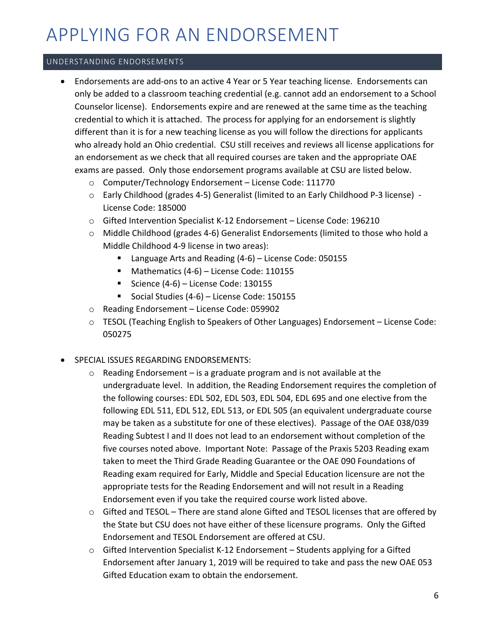## APPLYING FOR AN ENDORSEMENT

### UNDERSTANDING ENDORSEMENTS

- Endorsements are add-ons to an active 4 Year or 5 Year teaching license. Endorsements can only be added to a classroom teaching credential (e.g. cannot add an endorsement to a School Counselor license). Endorsements expire and are renewed at the same time as the teaching credential to which it is attached. The process for applying for an endorsement is slightly different than it is for a new teaching license as you will follow the directions for applicants who already hold an Ohio credential. CSU still receives and reviews all license applications for an endorsement as we check that all required courses are taken and the appropriate OAE exams are passed. Only those endorsement programs available at CSU are listed below.
	- o Computer/Technology Endorsement License Code: 111770
	- o Early Childhood (grades 4-5) Generalist (limited to an Early Childhood P-3 license) License Code: 185000
	- o Gifted Intervention Specialist K-12 Endorsement License Code: 196210
	- o Middle Childhood (grades 4-6) Generalist Endorsements (limited to those who hold a Middle Childhood 4-9 license in two areas):
		- Language Arts and Reading (4-6) License Code: 050155
		- Mathematics (4-6) License Code: 110155
		- Science (4-6) License Code: 130155
		- § Social Studies (4-6) License Code: 150155
	- o Reading Endorsement License Code: 059902
	- o TESOL (Teaching English to Speakers of Other Languages) Endorsement License Code: 050275
- SPECIAL ISSUES REGARDING ENDORSEMENTS:
	- $\circ$  Reading Endorsement is a graduate program and is not available at the undergraduate level. In addition, the Reading Endorsement requires the completion of the following courses: EDL 502, EDL 503, EDL 504, EDL 695 and one elective from the following EDL 511, EDL 512, EDL 513, or EDL 505 (an equivalent undergraduate course may be taken as a substitute for one of these electives). Passage of the OAE 038/039 Reading Subtest I and II does not lead to an endorsement without completion of the five courses noted above. Important Note: Passage of the Praxis 5203 Reading exam taken to meet the Third Grade Reading Guarantee or the OAE 090 Foundations of Reading exam required for Early, Middle and Special Education licensure are not the appropriate tests for the Reading Endorsement and will not result in a Reading Endorsement even if you take the required course work listed above.
	- o Gifted and TESOL There are stand alone Gifted and TESOL licenses that are offered by the State but CSU does not have either of these licensure programs. Only the Gifted Endorsement and TESOL Endorsement are offered at CSU.
	- $\circ$  Gifted Intervention Specialist K-12 Endorsement Students applying for a Gifted Endorsement after January 1, 2019 will be required to take and pass the new OAE 053 Gifted Education exam to obtain the endorsement.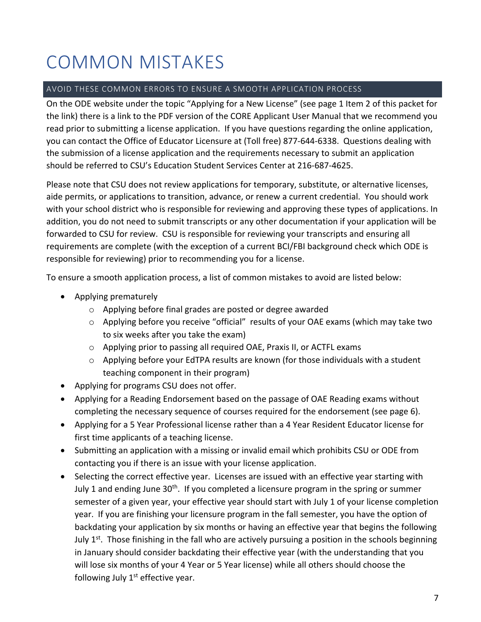# COMMON MISTAKES

### AVOID THESE COMMON ERRORS TO ENSURE A SMOOTH APPLICATION PROCESS

On the ODE website under the topic "Applying for a New License" (see page 1 Item 2 of this packet for the link) there is a link to the PDF version of the CORE Applicant User Manual that we recommend you read prior to submitting a license application. If you have questions regarding the online application, you can contact the Office of Educator Licensure at (Toll free) 877-644-6338. Questions dealing with the submission of a license application and the requirements necessary to submit an application should be referred to CSU's Education Student Services Center at 216-687-4625.

Please note that CSU does not review applications for temporary, substitute, or alternative licenses, aide permits, or applications to transition, advance, or renew a current credential. You should work with your school district who is responsible for reviewing and approving these types of applications. In addition, you do not need to submit transcripts or any other documentation if your application will be forwarded to CSU for review. CSU is responsible for reviewing your transcripts and ensuring all requirements are complete (with the exception of a current BCI/FBI background check which ODE is responsible for reviewing) prior to recommending you for a license.

To ensure a smooth application process, a list of common mistakes to avoid are listed below:

- Applying prematurely
	- o Applying before final grades are posted or degree awarded
	- o Applying before you receive "official" results of your OAE exams (which may take two to six weeks after you take the exam)
	- o Applying prior to passing all required OAE, Praxis II, or ACTFL exams
	- $\circ$  Applying before your EdTPA results are known (for those individuals with a student teaching component in their program)
- Applying for programs CSU does not offer.
- Applying for a Reading Endorsement based on the passage of OAE Reading exams without completing the necessary sequence of courses required for the endorsement (see page 6).
- Applying for a 5 Year Professional license rather than a 4 Year Resident Educator license for first time applicants of a teaching license.
- Submitting an application with a missing or invalid email which prohibits CSU or ODE from contacting you if there is an issue with your license application.
- Selecting the correct effective year. Licenses are issued with an effective year starting with July 1 and ending June 30<sup>th</sup>. If you completed a licensure program in the spring or summer semester of a given year, your effective year should start with July 1 of your license completion year. If you are finishing your licensure program in the fall semester, you have the option of backdating your application by six months or having an effective year that begins the following July  $1<sup>st</sup>$ . Those finishing in the fall who are actively pursuing a position in the schools beginning in January should consider backdating their effective year (with the understanding that you will lose six months of your 4 Year or 5 Year license) while all others should choose the following July  $1<sup>st</sup>$  effective year.